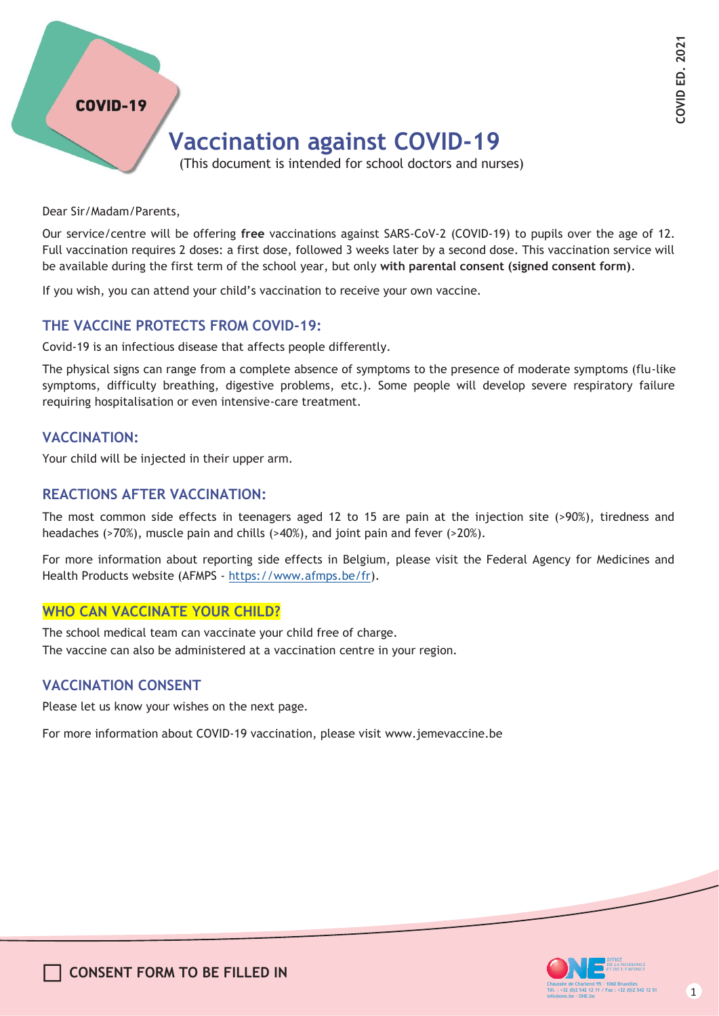### **COVID-19**

# **Vaccination against COVID-19**

(This document is intended for school doctors and nurses)

Dear Sir/Madam/Parents,

Our service/centre will be offering **free** vaccinations against SARS-CoV-2 (COVID-19) to pupils over the age of 12. Full vaccination requires 2 doses: a first dose, followed 3 weeks later by a second dose. This vaccination service will be available during the first term of the school year, but only **with parental consent (signed consent form)**.

If you wish, you can attend your child's vaccination to receive your own vaccine.

#### **THE VACCINE PROTECTS FROM COVID-19:**

Covid-19 is an infectious disease that affects people differently.

The physical signs can range from a complete absence of symptoms to the presence of moderate symptoms (flu-like symptoms, difficulty breathing, digestive problems, etc.). Some people will develop severe respiratory failure requiring hospitalisation or even intensive-care treatment.

#### **VACCINATION:**

Your child will be injected in their upper arm.

#### **REACTIONS AFTER VACCINATION:**

The most common side effects in teenagers aged 12 to 15 are pain at the injection site (>90%), tiredness and headaches (>70%), muscle pain and chills (>40%), and joint pain and fever (>20%).

For more information about reporting side effects in Belgium, please visit the Federal Agency for Medicines and Health Products website (AFMPS - [https://www.afmps.be/fr\)](http://www.afmps.be/fr)).

#### **WHO CAN VACCINATE YOUR CHILD?**

The school medical team can vaccinate your child free of charge. The vaccine can also be administered at a vaccination centre in your region.

#### **VACCINATION CONSENT**

Please let us know your wishes on the next page.

For more information about COVID-19 vaccination, please visit [www.jemevaccine.be](http://www.jemevaccine.be/)